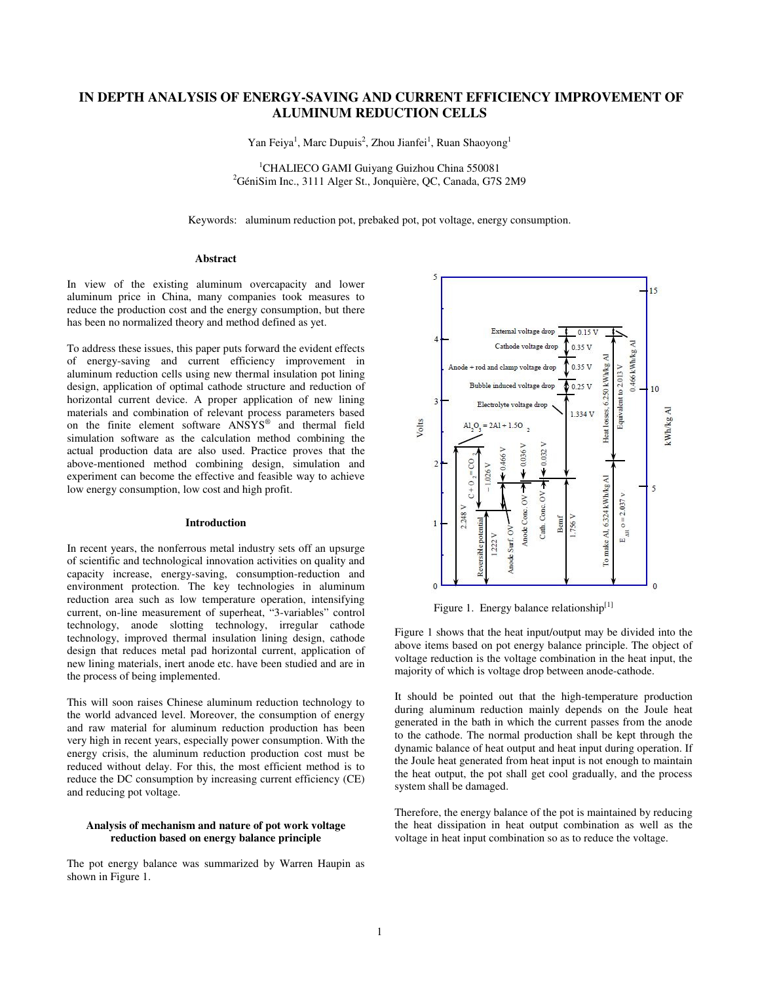# **IN DEPTH ANALYSIS OF ENERGY-SAVING AND CURRENT EFFICIENCY IMPROVEMENT OF ALUMINUM REDUCTION CELLS**

Yan Feiya<sup>1</sup>, Marc Dupuis<sup>2</sup>, Zhou Jianfei<sup>1</sup>, Ruan Shaoyong<sup>1</sup>

<sup>1</sup>CHALIECO GAMI Guiyang Guizhou China 550081 <sup>2</sup>GéniSim Inc., 3111 Alger St., Jonquière, QC, Canada, G7S 2M9

Keywords: aluminum reduction pot, prebaked pot, pot voltage, energy consumption.

# **Abstract**

In view of the existing aluminum overcapacity and lower aluminum price in China, many companies took measures to reduce the production cost and the energy consumption, but there has been no normalized theory and method defined as yet.

To address these issues, this paper puts forward the evident effects of energy-saving and current efficiency improvement in aluminum reduction cells using new thermal insulation pot lining design, application of optimal cathode structure and reduction of horizontal current device. A proper application of new lining materials and combination of relevant process parameters based on the finite element software ANSYS® and thermal field simulation software as the calculation method combining the actual production data are also used. Practice proves that the above-mentioned method combining design, simulation and experiment can become the effective and feasible way to achieve low energy consumption, low cost and high profit.

#### **Introduction**

In recent years, the nonferrous metal industry sets off an upsurge of scientific and technological innovation activities on quality and capacity increase, energy-saving, consumption-reduction and environment protection. The key technologies in aluminum reduction area such as low temperature operation, intensifying current, on-line measurement of superheat, "3-variables" control technology, anode slotting technology, irregular cathode technology, improved thermal insulation lining design, cathode design that reduces metal pad horizontal current, application of new lining materials, inert anode etc. have been studied and are in the process of being implemented.

This will soon raises Chinese aluminum reduction technology to the world advanced level. Moreover, the consumption of energy and raw material for aluminum reduction production has been very high in recent years, especially power consumption. With the energy crisis, the aluminum reduction production cost must be reduced without delay. For this, the most efficient method is to reduce the DC consumption by increasing current efficiency (CE) and reducing pot voltage.

# **Analysis of mechanism and nature of pot work voltage reduction based on energy balance principle**

The pot energy balance was summarized by Warren Haupin as shown in Figure 1.



Figure 1. Energy balance relationship<sup>[1]</sup>

Figure 1 shows that the heat input/output may be divided into the above items based on pot energy balance principle. The object of voltage reduction is the voltage combination in the heat input, the majority of which is voltage drop between anode-cathode.

It should be pointed out that the high-temperature production during aluminum reduction mainly depends on the Joule heat generated in the bath in which the current passes from the anode to the cathode. The normal production shall be kept through the dynamic balance of heat output and heat input during operation. If the Joule heat generated from heat input is not enough to maintain the heat output, the pot shall get cool gradually, and the process system shall be damaged.

Therefore, the energy balance of the pot is maintained by reducing the heat dissipation in heat output combination as well as the voltage in heat input combination so as to reduce the voltage.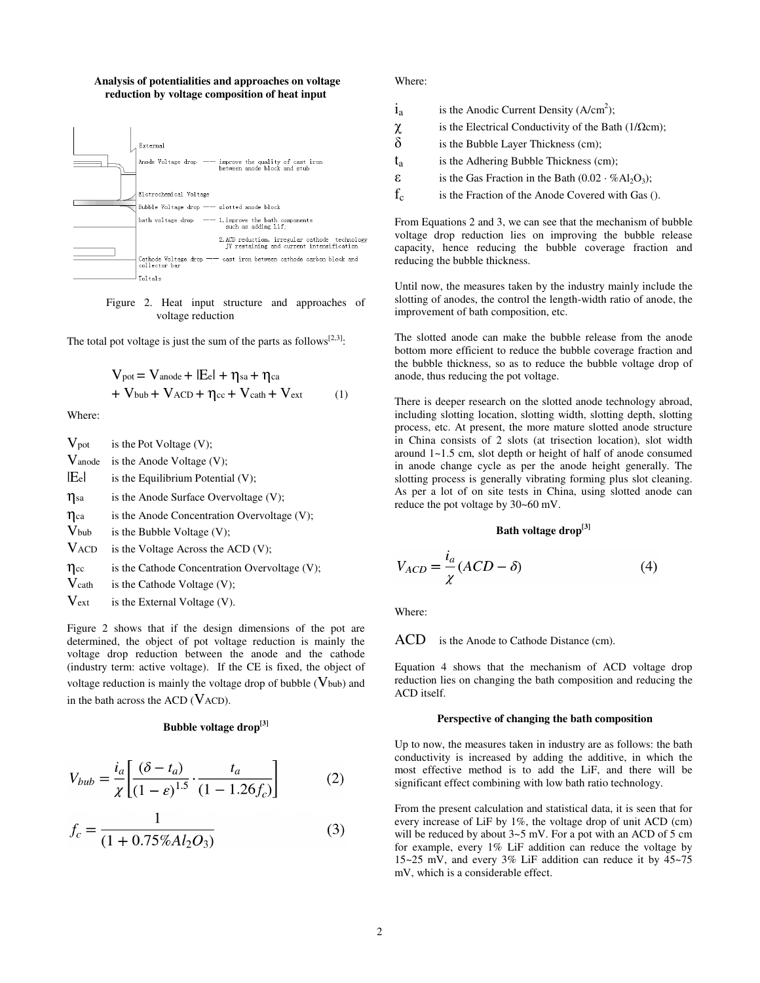# **Analysis of potentialities and approaches on voltage reduction by voltage composition of heat input**



 Figure 2. Heat input structure and approaches of voltage reduction

The total pot voltage is just the sum of the parts as follows<sup>[2,3]</sup>:

$$
V_{pot} = V_{anode} + |E_e| + \eta_{sa} + \eta_{ca}
$$
  
+ V<sub>bub</sub> + V<sub>ACD</sub> +  $\eta_{cc}$  + V<sub>cath</sub> + V<sub>ext</sub> (1)

Where:

| $V_{pot}$              | is the Pot Voltage $(V)$ ;                    |
|------------------------|-----------------------------------------------|
| Vanode                 | is the Anode Voltage (V);                     |
| $ E_e $                | is the Equilibrium Potential (V);             |
| $\eta$ sa              | is the Anode Surface Overvoltage (V);         |
| $\eta$ ca              | is the Anode Concentration Overvoltage (V);   |
| V <sub>bub</sub>       | is the Bubble Voltage $(V)$ ;                 |
| <b>V<sub>ACD</sub></b> | is the Voltage Across the ACD (V);            |
| $\eta_{cc}$            | is the Cathode Concentration Overvoltage (V); |
| Vcath                  | is the Cathode Voltage $(V)$ ;                |
| $V_{ext}$              | is the External Voltage (V).                  |

Figure 2 shows that if the design dimensions of the pot are determined, the object of pot voltage reduction is mainly the voltage drop reduction between the anode and the cathode (industry term: active voltage). If the CE is fixed, the object of voltage reduction is mainly the voltage drop of bubble  $(V_{bub})$  and in the bath across the ACD  $(V_{ACD})$ .

#### **Bubble voltage drop[3]**

$$
V_{bub} = \frac{i_a}{\chi} \left[ \frac{(\delta - t_a)}{(1 - \varepsilon)^{1.5}} \cdot \frac{t_a}{(1 - 1.26 f_c)} \right]
$$
(2)

$$
f_c = \frac{1}{(1 + 0.75\%Al_2O_3)}
$$
 (3)

 $\overline{1}$ 

Where:

| $1_{\rm a}$ | is the Anodic Current Density $(A/cm2)$ ;                                          |
|-------------|------------------------------------------------------------------------------------|
| χ           | is the Electrical Conductivity of the Bath $(1/\Omega \text{cm})$ ;                |
|             | is the Bubble Layer Thickness (cm);                                                |
| t,          | is the Adhering Bubble Thickness (cm);                                             |
| ε.          | is the Gas Fraction in the Bath $(0.02 \cdot \%$ Al <sub>2</sub> O <sub>3</sub> ): |
| $f_c$       | is the Fraction of the Anode Covered with Gas ().                                  |

From Equations 2 and 3, we can see that the mechanism of bubble voltage drop reduction lies on improving the bubble release capacity, hence reducing the bubble coverage fraction and reducing the bubble thickness.

Until now, the measures taken by the industry mainly include the slotting of anodes, the control the length-width ratio of anode, the improvement of bath composition, etc.

The slotted anode can make the bubble release from the anode bottom more efficient to reduce the bubble coverage fraction and the bubble thickness, so as to reduce the bubble voltage drop of anode, thus reducing the pot voltage.

There is deeper research on the slotted anode technology abroad, including slotting location, slotting width, slotting depth, slotting process, etc. At present, the more mature slotted anode structure in China consists of 2 slots (at trisection location), slot width around 1~1.5 cm, slot depth or height of half of anode consumed in anode change cycle as per the anode height generally. The slotting process is generally vibrating forming plus slot cleaning. As per a lot of on site tests in China, using slotted anode can reduce the pot voltage by 30~60 mV.

### **Bath voltage drop[3]**

$$
V_{ACD} = \frac{i_a}{\chi} (ACD - \delta)
$$
 (4)

Where:

ACD is the Anode to Cathode Distance (cm).

Equation 4 shows that the mechanism of ACD voltage drop reduction lies on changing the bath composition and reducing the ACD itself.

### **Perspective of changing the bath composition**

Up to now, the measures taken in industry are as follows: the bath conductivity is increased by adding the additive, in which the most effective method is to add the LiF, and there will be significant effect combining with low bath ratio technology.

From the present calculation and statistical data, it is seen that for every increase of LiF by 1%, the voltage drop of unit ACD (cm) will be reduced by about 3~5 mV. For a pot with an ACD of 5 cm for example, every 1% LiF addition can reduce the voltage by 15~25 mV, and every 3% LiF addition can reduce it by 45~75 mV, which is a considerable effect.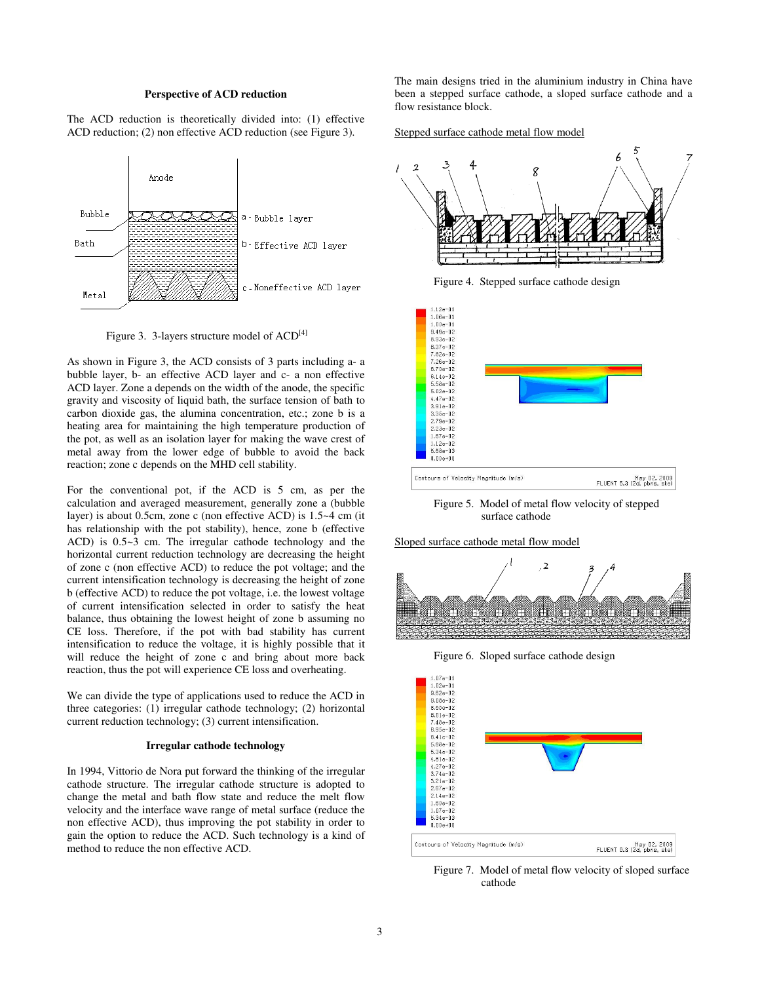### **Perspective of ACD reduction**

The ACD reduction is theoretically divided into: (1) effective ACD reduction; (2) non effective ACD reduction (see Figure 3).



Figure 3. 3-layers structure model of  $ACD^{[4]}$ 

As shown in Figure 3, the ACD consists of 3 parts including a- a bubble layer, b- an effective ACD layer and c- a non effective ACD layer. Zone a depends on the width of the anode, the specific gravity and viscosity of liquid bath, the surface tension of bath to carbon dioxide gas, the alumina concentration, etc.; zone b is a heating area for maintaining the high temperature production of the pot, as well as an isolation layer for making the wave crest of metal away from the lower edge of bubble to avoid the back reaction; zone c depends on the MHD cell stability.

For the conventional pot, if the ACD is 5 cm, as per the calculation and averaged measurement, generally zone a (bubble layer) is about 0.5cm, zone c (non effective ACD) is 1.5~4 cm (it has relationship with the pot stability), hence, zone b (effective ACD) is 0.5~3 cm. The irregular cathode technology and the horizontal current reduction technology are decreasing the height of zone c (non effective ACD) to reduce the pot voltage; and the current intensification technology is decreasing the height of zone b (effective ACD) to reduce the pot voltage, i.e. the lowest voltage of current intensification selected in order to satisfy the heat balance, thus obtaining the lowest height of zone b assuming no CE loss. Therefore, if the pot with bad stability has current intensification to reduce the voltage, it is highly possible that it will reduce the height of zone c and bring about more back reaction, thus the pot will experience CE loss and overheating.

We can divide the type of applications used to reduce the ACD in three categories: (1) irregular cathode technology; (2) horizontal current reduction technology; (3) current intensification.

### **Irregular cathode technology**

In 1994, Vittorio de Nora put forward the thinking of the irregular cathode structure. The irregular cathode structure is adopted to change the metal and bath flow state and reduce the melt flow velocity and the interface wave range of metal surface (reduce the non effective ACD), thus improving the pot stability in order to gain the option to reduce the ACD. Such technology is a kind of method to reduce the non effective ACD.

The main designs tried in the aluminium industry in China have been a stepped surface cathode, a sloped surface cathode and a flow resistance block.

Stepped surface cathode metal flow model



Figure 4. Stepped surface cathode design



 Figure 5. Model of metal flow velocity of stepped surface cathode

Sloped surface cathode metal flow model



Figure 6. Sloped surface cathode design



 Figure 7. Model of metal flow velocity of sloped surface cathode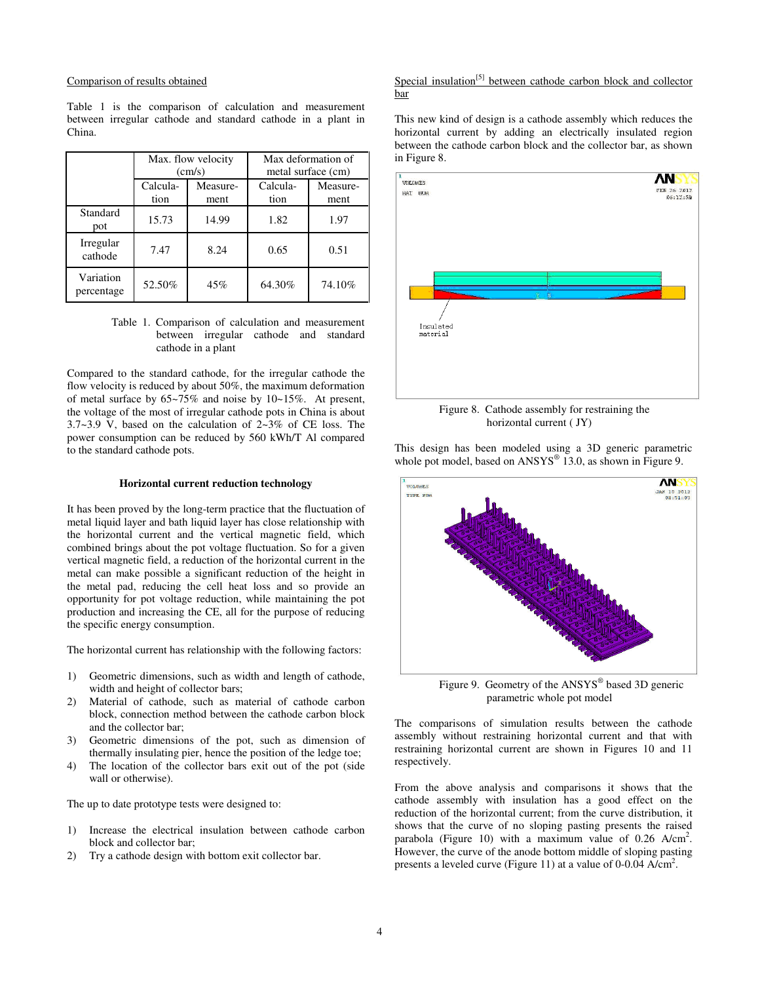Comparison of results obtained

Table 1 is the comparison of calculation and measurement between irregular cathode and standard cathode in a plant in China.

|                         | Max. flow velocity<br>$\text{(cm/s)}$ |                  | Max deformation of<br>metal surface (cm) |                  |
|-------------------------|---------------------------------------|------------------|------------------------------------------|------------------|
|                         | Calcula-<br>tion                      | Measure-<br>ment | Calcula-<br>tion                         | Measure-<br>ment |
| Standard<br>pot         | 15.73                                 | 14.99            | 1.82                                     | 1.97             |
| Irregular<br>cathode    | 7.47                                  | 8.24             | 0.65                                     | 0.51             |
| Variation<br>percentage | 52.50%                                | 45%              | 64.30%                                   | 74.10%           |

Table 1. Comparison of calculation and measurement between irregular cathode and standard cathode in a plant

Compared to the standard cathode, for the irregular cathode the flow velocity is reduced by about 50%, the maximum deformation of metal surface by 65~75% and noise by 10~15%. At present, the voltage of the most of irregular cathode pots in China is about 3.7~3.9 V, based on the calculation of 2~3% of CE loss. The power consumption can be reduced by 560 kWh/T Al compared to the standard cathode pots.

### **Horizontal current reduction technology**

It has been proved by the long-term practice that the fluctuation of metal liquid layer and bath liquid layer has close relationship with the horizontal current and the vertical magnetic field, which combined brings about the pot voltage fluctuation. So for a given vertical magnetic field, a reduction of the horizontal current in the metal can make possible a significant reduction of the height in the metal pad, reducing the cell heat loss and so provide an opportunity for pot voltage reduction, while maintaining the pot production and increasing the CE, all for the purpose of reducing the specific energy consumption.

The horizontal current has relationship with the following factors:

- 1) Geometric dimensions, such as width and length of cathode, width and height of collector bars;
- 2) Material of cathode, such as material of cathode carbon block, connection method between the cathode carbon block and the collector bar;
- 3) Geometric dimensions of the pot, such as dimension of thermally insulating pier, hence the position of the ledge toe;
- 4) The location of the collector bars exit out of the pot (side wall or otherwise).

The up to date prototype tests were designed to:

- 1) Increase the electrical insulation between cathode carbon block and collector bar;
- 2) Try a cathode design with bottom exit collector bar.

Special insulation $[5]$  between cathode carbon block and collector bar

This new kind of design is a cathode assembly which reduces the horizontal current by adding an electrically insulated region between the cathode carbon block and the collector bar, as shown in Figure 8.



Figure 8. Cathode assembly for restraining the horizontal current ( JY)

This design has been modeled using a 3D generic parametric whole pot model, based on ANSYS® 13.0, as shown in Figure 9.



Figure 9. Geometry of the ANSYS<sup>®</sup> based 3D generic parametric whole pot model

The comparisons of simulation results between the cathode assembly without restraining horizontal current and that with restraining horizontal current are shown in Figures 10 and 11 respectively.

From the above analysis and comparisons it shows that the cathode assembly with insulation has a good effect on the reduction of the horizontal current; from the curve distribution, it shows that the curve of no sloping pasting presents the raised parabola (Figure 10) with a maximum value of  $0.26$  A/cm<sup>2</sup>. However, the curve of the anode bottom middle of sloping pasting presents a leveled curve (Figure 11) at a value of 0-0.04 A/cm<sup>2</sup>.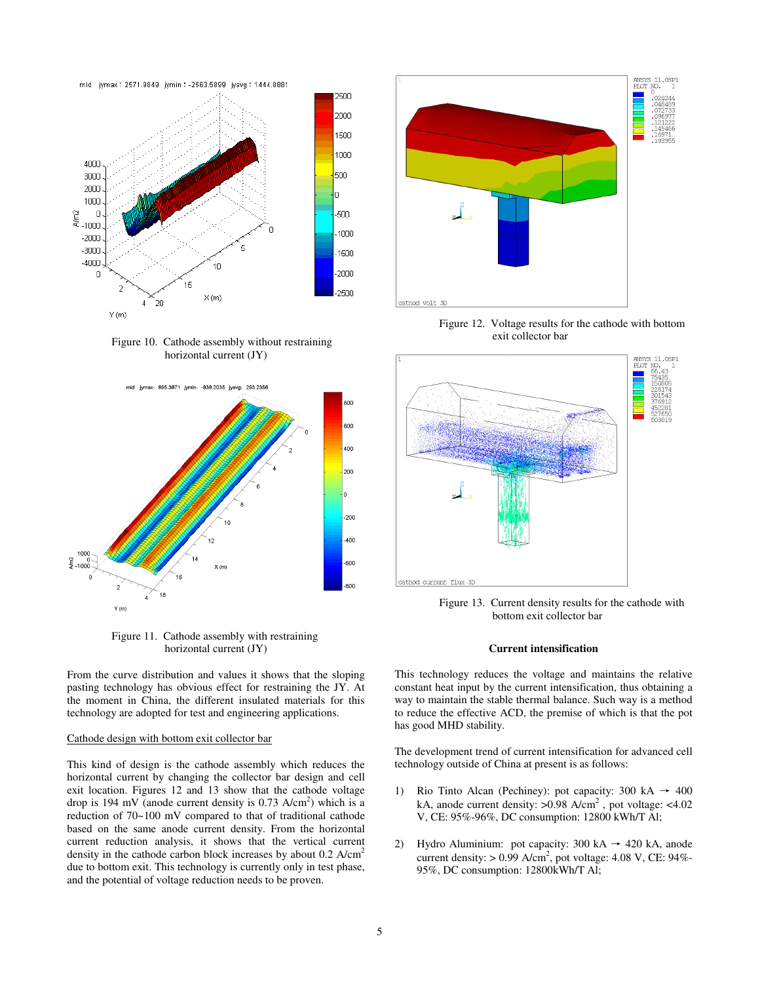

Figure 10. Cathode assembly without restraining horizontal current (JY)



Figure 11. Cathode assembly with restraining horizontal current (JY)

From the curve distribution and values it shows that the sloping pasting technology has obvious effect for restraining the JY. At the moment in China, the different insulated materials for this technology are adopted for test and engineering applications.

#### Cathode design with bottom exit collector bar

This kind of design is the cathode assembly which reduces the horizontal current by changing the collector bar design and cell exit location. Figures 12 and 13 show that the cathode voltage drop is 194 mV (anode current density is 0.73 A/cm<sup>2</sup>) which is a reduction of 70~100 mV compared to that of traditional cathode based on the same anode current density. From the horizontal current reduction analysis, it shows that the vertical current density in the cathode carbon block increases by about 0.2 A/cm<sup>2</sup> due to bottom exit. This technology is currently only in test phase, and the potential of voltage reduction needs to be proven.



Figure 12. Voltage results for the cathode with bottom exit collector bar



Figure 13. Current density results for the cathode with bottom exit collector bar

# **Current intensification**

This technology reduces the voltage and maintains the relative constant heat input by the current intensification, thus obtaining a way to maintain the stable thermal balance. Such way is a method to reduce the effective ACD, the premise of which is that the pot has good MHD stability.

The development trend of current intensification for advanced cell technology outside of China at present is as follows:

- 1) Rio Tinto Alcan (Pechiney): pot capacity: 300 kA  $\rightarrow$  400 kA, anode current density:  $>0.98$  A/cm<sup>2</sup>, pot voltage: <4.02 V, CE: 95%-96%, DC consumption: 12800 kWh/T Al;
- 2) Hydro Aluminium: pot capacity: 300 kA  $\rightarrow$  420 kA, anode current density:  $> 0.99$  A/cm<sup>2</sup>, pot voltage: 4.08 V, CE: 94%-95%, DC consumption: 12800kWh/T Al;